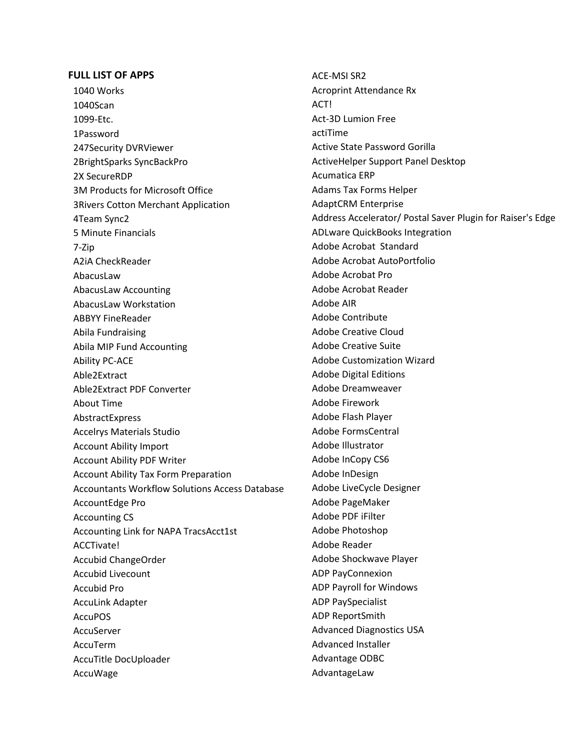## **FULL LIST OF APPS**

1040 Works 1040Scan 1099-Etc. 1Password 247Security DVRViewer 2BrightSparks SyncBackPro 2X SecureRDP 3M Products for Microsoft Office 3Rivers Cotton Merchant Application 4Team Sync2 5 Minute Financials 7-Zip A2iA CheckReader AbacusLaw AbacusLaw Accounting AbacusLaw Workstation ABBYY FineReader Abila Fundraising Abila MIP Fund Accounting Ability PC-ACE Able2Extract Able2Extract PDF Converter About Time AbstractExpress Accelrys Materials Studio Account Ability Import Account Ability PDF Writer Account Ability Tax Form Preparation Accountants Workflow Solutions Access Database AccountEdge Pro Accounting CS Accounting Link for NAPA TracsAcct1st ACCTivate! Accubid ChangeOrder Accubid Livecount Accubid Pro AccuLink Adapter AccuPOS AccuServer AccuTerm AccuTitle DocUploader AccuWage

ACE-MSI SR2 Acroprint Attendance Rx ACT! Act-3D Lumion Free actiTime Active State Password Gorilla ActiveHelper Support Panel Desktop Acumatica ERP Adams Tax Forms Helper AdaptCRM Enterprise Address Accelerator/ Postal Saver Plugin for Raiser's Edge ADLware QuickBooks Integration Adobe Acrobat Standard Adobe Acrobat AutoPortfolio Adobe Acrobat Pro Adobe Acrobat Reader Adobe AIR Adobe Contribute Adobe Creative Cloud Adobe Creative Suite Adobe Customization Wizard Adobe Digital Editions Adobe Dreamweaver Adobe Firework Adobe Flash Player Adobe FormsCentral Adobe Illustrator Adobe InCopy CS6 Adobe InDesign Adobe LiveCycle Designer Adobe PageMaker Adobe PDF iFilter Adobe Photoshop Adobe Reader Adobe Shockwave Player ADP PayConnexion ADP Payroll for Windows ADP PaySpecialist ADP ReportSmith Advanced Diagnostics USA Advanced Installer Advantage ODBC AdvantageLaw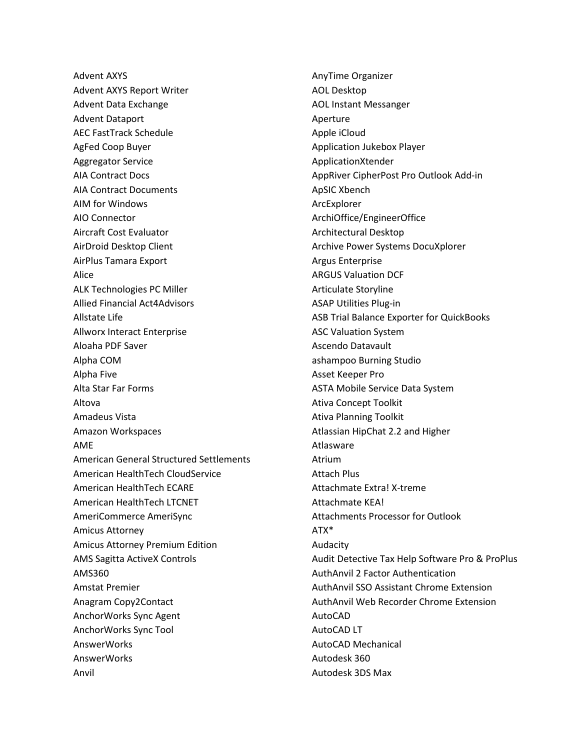Advent AXYS Advent AXYS Report Writer Advent Data Exchange Advent Dataport AEC FastTrack Schedule AgFed Coop Buyer Aggregator Service AIA Contract Docs AIA Contract Documents AIM for Windows AIO Connector Aircraft Cost Evaluator AirDroid Desktop Client AirPlus Tamara Export Alice ALK Technologies PC Miller Allied Financial Act4Advisors Allstate Life Allworx Interact Enterprise Aloaha PDF Saver Alpha COM Alpha Five Alta Star Far Forms Altova Amadeus Vista Amazon Workspaces AME American General Structured Settlements American HealthTech CloudService American HealthTech ECARE American HealthTech LTCNET AmeriCommerce AmeriSync Amicus Attorney Amicus Attorney Premium Edition AMS Sagitta ActiveX Controls AMS360 Amstat Premier Anagram Copy2Contact AnchorWorks Sync Agent AnchorWorks Sync Tool AnswerWorks AnswerWorks Anvil

AnyTime Organizer AOL Desktop AOL Instant Messanger Aperture Apple iCloud Application Jukebox Player ApplicationXtender AppRiver CipherPost Pro Outlook Add-in ApSIC Xbench ArcExplorer ArchiOffice/EngineerOffice Architectural Desktop Archive Power Systems DocuXplorer Argus Enterprise ARGUS Valuation DCF Articulate Storyline ASAP Utilities Plug-in ASB Trial Balance Exporter for QuickBooks ASC Valuation System Ascendo Datavault ashampoo Burning Studio Asset Keeper Pro ASTA Mobile Service Data System Ativa Concept Toolkit Ativa Planning Toolkit Atlassian HipChat 2.2 and Higher Atlasware Atrium Attach Plus Attachmate Extra! X-treme Attachmate KEA! Attachments Processor for Outlook ATX\* Audacity Audit Detective Tax Help Software Pro & ProPlus AuthAnvil 2 Factor Authentication AuthAnvil SSO Assistant Chrome Extension AuthAnvil Web Recorder Chrome Extension AutoCAD AutoCAD LT AutoCAD Mechanical Autodesk 360 Autodesk 3DS Max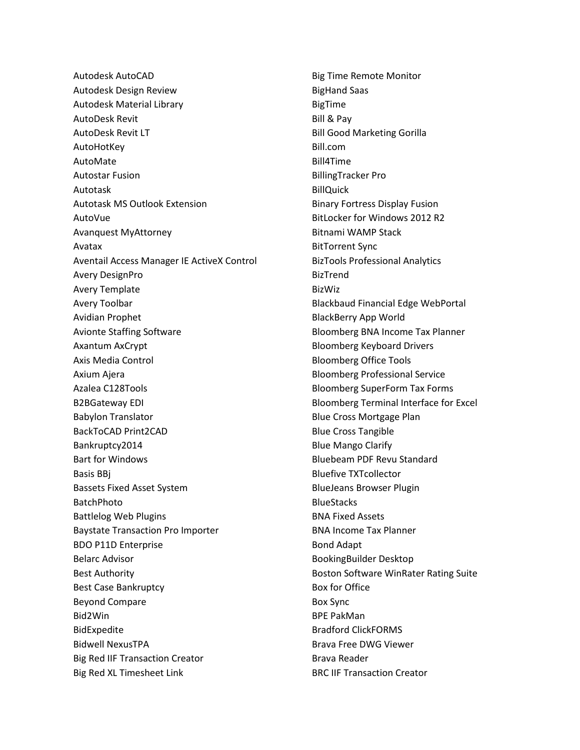Autodesk AutoCAD Autodesk Design Review Autodesk Material Library AutoDesk Revit AutoDesk Revit LT AutoHotKey AutoMate Autostar Fusion Autotask Autotask MS Outlook Extension AutoVue Avanquest MyAttorney Avatax Aventail Access Manager IE ActiveX Control Avery DesignPro Avery Template Avery Toolbar Avidian Prophet Avionte Staffing Software Axantum AxCrypt Axis Media Control Axium Ajera Azalea C128Tools B2BGateway EDI Babylon Translator BackToCAD Print2CAD Bankruptcy2014 Bart for Windows Basis BBj Bassets Fixed Asset System BatchPhoto Battlelog Web Plugins Baystate Transaction Pro Importer BDO P11D Enterprise Belarc Advisor Best Authority Best Case Bankruptcy Beyond Compare Bid2Win BidExpedite Bidwell NexusTPA Big Red IIF Transaction Creator Big Red XL Timesheet Link

Big Time Remote Monitor BigHand Saas BigTime Bill & Pay Bill Good Marketing Gorilla Bill.com Bill4Time BillingTracker Pro BillQuick Binary Fortress Display Fusion BitLocker for Windows 2012 R2 Bitnami WAMP Stack BitTorrent Sync BizTools Professional Analytics BizTrend BizWiz Blackbaud Financial Edge WebPortal BlackBerry App World Bloomberg BNA Income Tax Planner Bloomberg Keyboard Drivers Bloomberg Office Tools Bloomberg Professional Service Bloomberg SuperForm Tax Forms Bloomberg Terminal Interface for Excel Blue Cross Mortgage Plan Blue Cross Tangible Blue Mango Clarify Bluebeam PDF Revu Standard Bluefive TXTcollector BlueJeans Browser Plugin **BlueStacks** BNA Fixed Assets BNA Income Tax Planner Bond Adapt BookingBuilder Desktop Boston Software WinRater Rating Suite Box for Office Box Sync BPE PakMan Bradford ClickFORMS Brava Free DWG Viewer Brava Reader BRC IIF Transaction Creator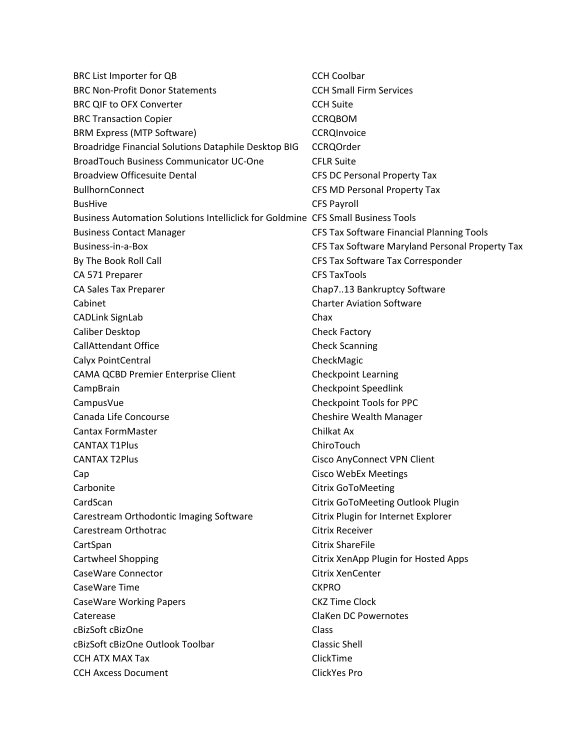| BRC List Importer for QB                                                         | <b>CCH Coolbar</b>                              |
|----------------------------------------------------------------------------------|-------------------------------------------------|
| <b>BRC Non-Profit Donor Statements</b>                                           | <b>CCH Small Firm Services</b>                  |
| <b>BRC QIF to OFX Converter</b>                                                  | <b>CCH Suite</b>                                |
| <b>BRC Transaction Copier</b>                                                    | <b>CCRQBOM</b>                                  |
| <b>BRM Express (MTP Software)</b>                                                | <b>CCRQInvoice</b>                              |
| Broadridge Financial Solutions Dataphile Desktop BIG                             | <b>CCRQOrder</b>                                |
| <b>BroadTouch Business Communicator UC-One</b>                                   | <b>CFLR Suite</b>                               |
| <b>Broadview Officesuite Dental</b>                                              | <b>CFS DC Personal Property Tax</b>             |
| <b>BullhornConnect</b>                                                           | CFS MD Personal Property Tax                    |
| <b>BusHive</b>                                                                   | <b>CFS Payroll</b>                              |
| Business Automation Solutions Intelliclick for Goldmine CFS Small Business Tools |                                                 |
| <b>Business Contact Manager</b>                                                  | CFS Tax Software Financial Planning Tools       |
| Business-in-a-Box                                                                | CFS Tax Software Maryland Personal Property Tax |
| By The Book Roll Call                                                            | CFS Tax Software Tax Corresponder               |
| CA 571 Preparer                                                                  | <b>CFS TaxTools</b>                             |
| CA Sales Tax Preparer                                                            | Chap713 Bankruptcy Software                     |
| Cabinet                                                                          | <b>Charter Aviation Software</b>                |
| <b>CADLink SignLab</b>                                                           | Chax                                            |
| Caliber Desktop                                                                  | Check Factory                                   |
| <b>CallAttendant Office</b>                                                      | <b>Check Scanning</b>                           |
| Calyx PointCentral                                                               | CheckMagic                                      |
| <b>CAMA QCBD Premier Enterprise Client</b>                                       | <b>Checkpoint Learning</b>                      |
| CampBrain                                                                        | Checkpoint Speedlink                            |
| CampusVue                                                                        | Checkpoint Tools for PPC                        |
| Canada Life Concourse                                                            | Cheshire Wealth Manager                         |
| <b>Cantax FormMaster</b>                                                         | Chilkat Ax                                      |
| <b>CANTAX T1Plus</b>                                                             | ChiroTouch                                      |
| <b>CANTAX T2Plus</b>                                                             | <b>Cisco AnyConnect VPN Client</b>              |
| Cap                                                                              | <b>Cisco WebEx Meetings</b>                     |
| Carbonite                                                                        | <b>Citrix GoToMeeting</b>                       |
| CardScan                                                                         | Citrix GoToMeeting Outlook Plugin               |
| Carestream Orthodontic Imaging Software                                          | Citrix Plugin for Internet Explorer             |
| Carestream Orthotrac                                                             | <b>Citrix Receiver</b>                          |
| CartSpan                                                                         | <b>Citrix ShareFile</b>                         |
| Cartwheel Shopping                                                               | Citrix XenApp Plugin for Hosted Apps            |
| CaseWare Connector                                                               | <b>Citrix XenCenter</b>                         |
| CaseWare Time                                                                    | <b>CKPRO</b>                                    |
| <b>CaseWare Working Papers</b>                                                   | <b>CKZ Time Clock</b>                           |
| Caterease                                                                        | <b>ClaKen DC Powernotes</b>                     |
| cBizSoft cBizOne                                                                 | Class                                           |
| cBizSoft cBizOne Outlook Toolbar                                                 | <b>Classic Shell</b>                            |
| <b>CCH ATX MAX Tax</b>                                                           | ClickTime                                       |
| <b>CCH Axcess Document</b>                                                       | ClickYes Pro                                    |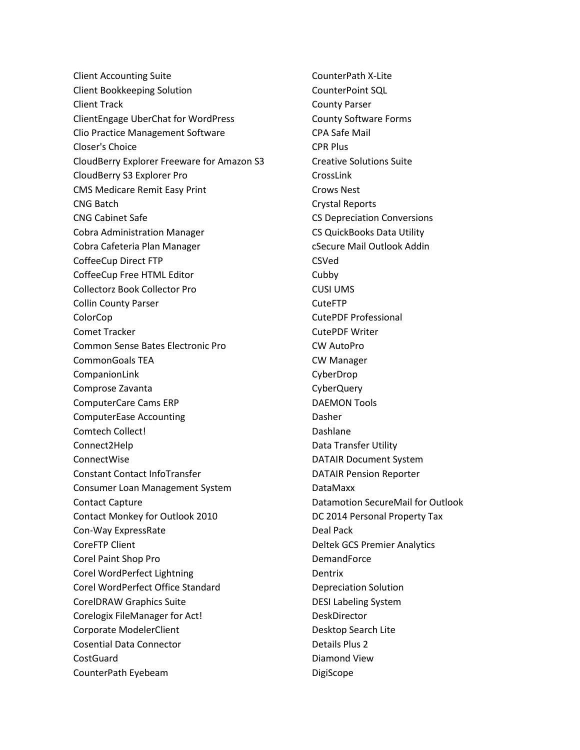Client Accounting Suite Client Bookkeeping Solution Client Track ClientEngage UberChat for WordPress Clio Practice Management Software Closer's Choice CloudBerry Explorer Freeware for Amazon S3 CloudBerry S3 Explorer Pro CMS Medicare Remit Easy Print CNG Batch CNG Cabinet Safe Cobra Administration Manager Cobra Cafeteria Plan Manager CoffeeCup Direct FTP CoffeeCup Free HTML Editor Collectorz Book Collector Pro Collin County Parser ColorCop Comet Tracker Common Sense Bates Electronic Pro CommonGoals TEA CompanionLink Comprose Zavanta ComputerCare Cams ERP ComputerEase Accounting Comtech Collect! Connect2Help ConnectWise Constant Contact InfoTransfer Consumer Loan Management System Contact Capture Contact Monkey for Outlook 2010 Con-Way ExpressRate CoreFTP Client Corel Paint Shop Pro Corel WordPerfect Lightning Corel WordPerfect Office Standard CorelDRAW Graphics Suite Corelogix FileManager for Act! Corporate ModelerClient Cosential Data Connector CostGuard CounterPath Eyebeam

CounterPath X-Lite CounterPoint SQL County Parser County Software Forms CPA Safe Mail CPR Plus Creative Solutions Suite CrossLink Crows Nest Crystal Reports CS Depreciation Conversions CS QuickBooks Data Utility cSecure Mail Outlook Addin CSVed Cubby CUSI UMS CuteFTP CutePDF Professional CutePDF Writer CW AutoPro CW Manager CyberDrop CyberQuery DAEMON Tools Dasher Dashlane Data Transfer Utility DATAIR Document System DATAIR Pension Reporter DataMaxx Datamotion SecureMail for Outlook DC 2014 Personal Property Tax Deal Pack Deltek GCS Premier Analytics **DemandForce** Dentrix Depreciation Solution DESI Labeling System DeskDirector Desktop Search Lite Details Plus 2 Diamond View DigiScope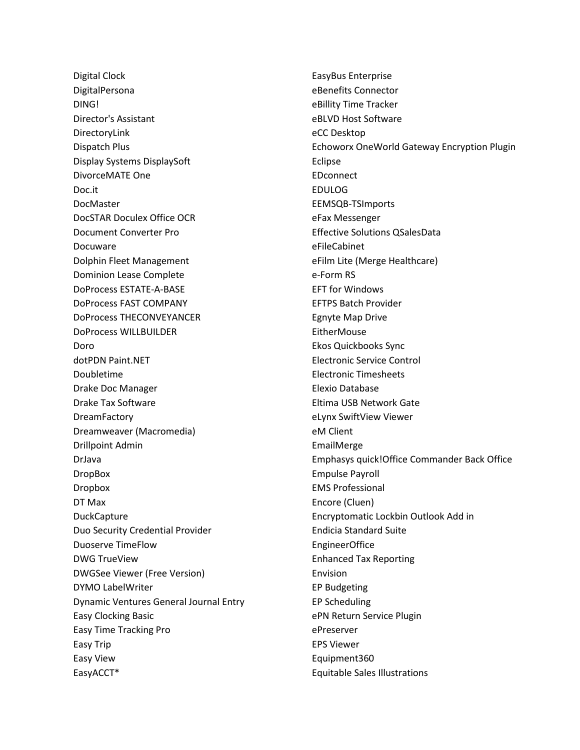Digital Clock DigitalPersona DING! Director's Assistant DirectoryLink Dispatch Plus Display Systems DisplaySoft DivorceMATE One Doc.it DocMaster DocSTAR Doculex Office OCR Document Converter Pro Docuware Dolphin Fleet Management Dominion Lease Complete DoProcess ESTATE-A-BASE DoProcess FAST COMPANY DoProcess THECONVEYANCER DoProcess WILLBUILDER Doro dotPDN Paint.NET Doubletime Drake Doc Manager Drake Tax Software **DreamFactory** Dreamweaver (Macromedia) Drillpoint Admin DrJava DropBox Dropbox DT Max **DuckCapture** Duo Security Credential Provider Duoserve TimeFlow DWG TrueView DWGSee Viewer (Free Version) DYMO LabelWriter Dynamic Ventures General Journal Entry Easy Clocking Basic Easy Time Tracking Pro Easy Trip Easy View EasyACCT\*

EasyBus Enterprise eBenefits Connector eBillity Time Tracker eBLVD Host Software eCC Desktop Echoworx OneWorld Gateway Encryption Plugin Eclipse EDconnect EDULOG EEMSQB-TSImports eFax Messenger Effective Solutions QSalesData eFileCabinet eFilm Lite (Merge Healthcare) e-Form RS EFT for Windows EFTPS Batch Provider Egnyte Map Drive **EitherMouse** Ekos Quickbooks Sync Electronic Service Control Electronic Timesheets Elexio Database Eltima USB Network Gate eLynx SwiftView Viewer eM Client EmailMerge Emphasys quick!Office Commander Back Office Empulse Payroll EMS Professional Encore (Cluen) Encryptomatic Lockbin Outlook Add in Endicia Standard Suite EngineerOffice Enhanced Tax Reporting Envision EP Budgeting EP Scheduling ePN Return Service Plugin ePreserver EPS Viewer Equipment360 Equitable Sales Illustrations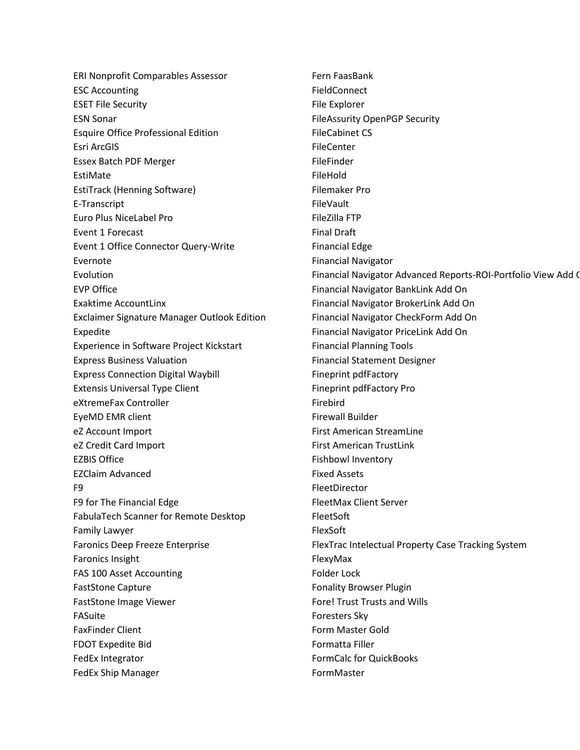ERI Nonprofit Comparables Assessor ESC Accounting ESET File Security ESN Sonar Esquire Office Professional Edition Esri ArcGIS Essex Batch PDF Merger EstiMate EstiTrack (Henning Software) E-Transcript Euro Plus NiceLabel Pro Event 1 Forecast Event 1 Office Connector Query-Write Evernote Evolution EVP Office Exaktime AccountLinx Exclaimer Signature Manager Outlook Edition Expedite Experience in Software Project Kickstart Express Business Valuation Express Connection Digital Waybill Extensis Universal Type Client eXtremeFax Controller EyeMD EMR client eZ Account Import eZ Credit Card Import EZBIS Office EZClaim Advanced F9 F9 for The Financial Edge FabulaTech Scanner for Remote Desktop Family Lawyer Faronics Deep Freeze Enterprise Faronics Insight FAS 100 Asset Accounting FastStone Capture FastStone Image Viewer FASuite FaxFinder Client FDOT Expedite Bid FedEx Integrator FedEx Ship Manager

Fern FaasBank FieldConnect File Explorer FileAssurity OpenPGP Security FileCabinet CS FileCenter FileFinder FileHold Filemaker Pro FileVault FileZilla FTP Final Draft Financial Edge Financial Navigator Financial Navigator Advanced Reports-ROI-Portfolio View Add O Financial Navigator BankLink Add On Financial Navigator BrokerLink Add On Financial Navigator CheckForm Add On Financial Navigator PriceLink Add On Financial Planning Tools Financial Statement Designer Fineprint pdfFactory Fineprint pdfFactory Pro Firebird Firewall Builder First American StreamLine First American TrustLink Fishbowl Inventory Fixed Assets FleetDirector FleetMax Client Server FleetSoft FlexSoft FlexTrac Intelectual Property Case Tracking System FlexyMax Folder Lock Fonality Browser Plugin Fore! Trust Trusts and Wills Foresters Sky Form Master Gold Formatta Filler FormCalc for QuickBooks FormMaster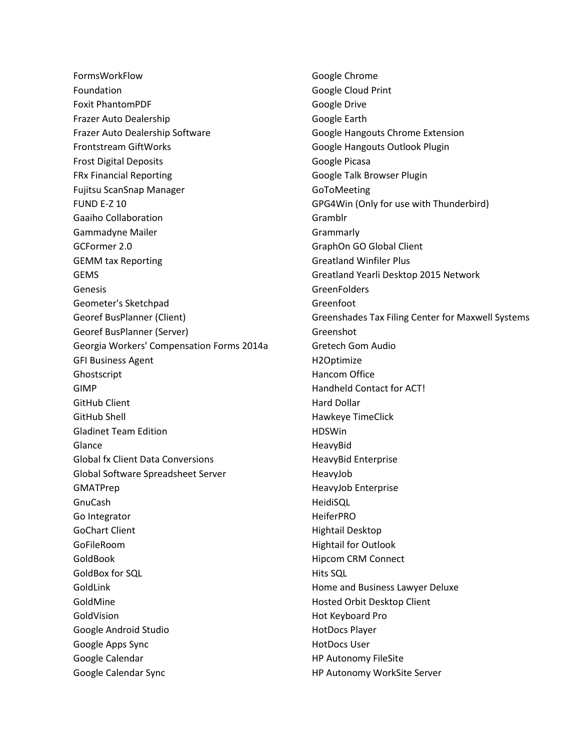FormsWorkFlow Foundation Foxit PhantomPDF Frazer Auto Dealership Frazer Auto Dealership Software Frontstream GiftWorks Frost Digital Deposits FRx Financial Reporting Fujitsu ScanSnap Manager FUND E-Z 10 Gaaiho Collaboration Gammadyne Mailer GCFormer 2.0 GEMM tax Reporting GEMS Genesis Geometer's Sketchpad Georef BusPlanner (Client) Georef BusPlanner (Server) Georgia Workers' Compensation Forms 2014a GFI Business Agent Ghostscript GIMP GitHub Client GitHub Shell Gladinet Team Edition Glance Global fx Client Data Conversions Global Software Spreadsheet Server GMATPrep GnuCash Go Integrator GoChart Client GoFileRoom GoldBook GoldBox for SQL GoldLink GoldMine GoldVision Google Android Studio Google Apps Sync Google Calendar Google Calendar Sync

Google Chrome Google Cloud Print Google Drive Google Earth Google Hangouts Chrome Extension Google Hangouts Outlook Plugin Google Picasa Google Talk Browser Plugin GoToMeeting GPG4Win (Only for use with Thunderbird) Gramblr Grammarly GraphOn GO Global Client Greatland Winfiler Plus Greatland Yearli Desktop 2015 Network **GreenFolders** Greenfoot Greenshades Tax Filing Center for Maxwell Systems Greenshot Gretech Gom Audio H2Optimize Hancom Office Handheld Contact for ACT! Hard Dollar Hawkeye TimeClick HDSWin HeavyBid HeavyBid Enterprise HeavyJob HeavyJob Enterprise HeidiSQL HeiferPRO Hightail Desktop Hightail for Outlook Hipcom CRM Connect Hits SQL Home and Business Lawyer Deluxe Hosted Orbit Desktop Client Hot Keyboard Pro HotDocs Player HotDocs User HP Autonomy FileSite HP Autonomy WorkSite Server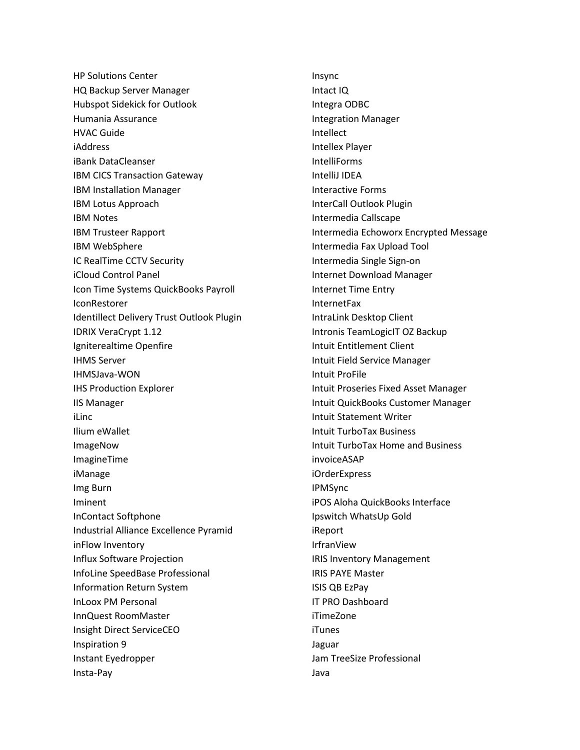HP Solutions Center HQ Backup Server Manager Hubspot Sidekick for Outlook Humania Assurance HVAC Guide iAddress iBank DataCleanser IBM CICS Transaction Gateway IBM Installation Manager IBM Lotus Approach IBM Notes IBM Trusteer Rapport IBM WebSphere IC RealTime CCTV Security iCloud Control Panel Icon Time Systems QuickBooks Payroll IconRestorer Identillect Delivery Trust Outlook Plugin IDRIX VeraCrypt 1.12 Igniterealtime Openfire IHMS Server IHMSJava-WON IHS Production Explorer IIS Manager iLinc Ilium eWallet ImageNow ImagineTime iManage Img Burn Iminent InContact Softphone Industrial Alliance Excellence Pyramid inFlow Inventory Influx Software Projection InfoLine SpeedBase Professional Information Return System InLoox PM Personal InnQuest RoomMaster Insight Direct ServiceCEO Inspiration 9 Instant Eyedropper Insta-Pay

Insync Intact IQ Integra ODBC Integration Manager Intellect Intellex Player IntelliForms IntelliJ IDEA Interactive Forms InterCall Outlook Plugin Intermedia Callscape Intermedia Echoworx Encrypted Message Intermedia Fax Upload Tool Intermedia Single Sign-on Internet Download Manager Internet Time Entry InternetFax IntraLink Desktop Client Intronis TeamLogicIT OZ Backup Intuit Entitlement Client Intuit Field Service Manager Intuit ProFile Intuit Proseries Fixed Asset Manager Intuit QuickBooks Customer Manager Intuit Statement Writer Intuit TurboTax Business Intuit TurboTax Home and Business invoiceASAP iOrderExpress IPMSync iPOS Aloha QuickBooks Interface Ipswitch WhatsUp Gold iReport IrfranView IRIS Inventory Management IRIS PAYE Master ISIS QB EzPay IT PRO Dashboard iTimeZone iTunes Jaguar Jam TreeSize Professional Java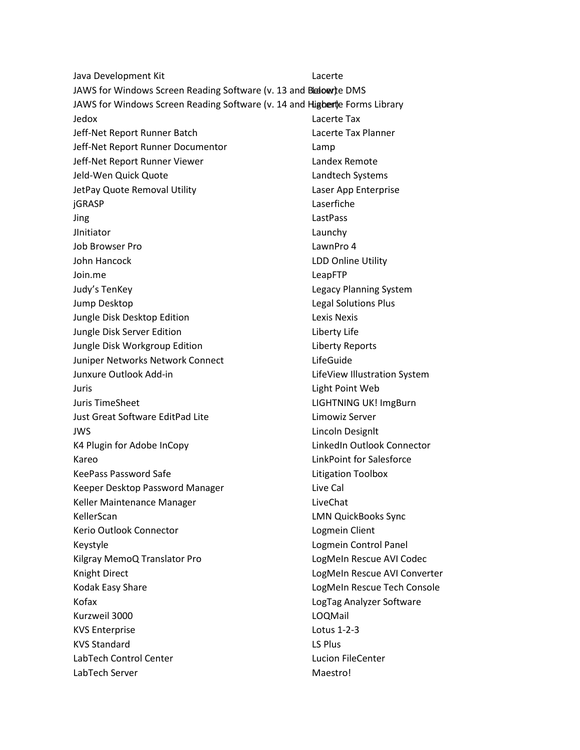Java Development Kit JAWS for Windows Screen Reading Software (v. 13 and Beloerte DMS JAWS for Windows Screen Reading Software (v. 14 and Higberte Forms Library Jedox Jeff-Net Report Runner Batch Jeff-Net Report Runner Documentor Jeff-Net Report Runner Viewer Jeld-Wen Quick Quote JetPay Quote Removal Utility jGRASP Jing **JInitiator** Job Browser Pro John Hancock Join.me Judy's TenKey Jump Desktop Jungle Disk Desktop Edition Jungle Disk Server Edition Jungle Disk Workgroup Edition Juniper Networks Network Connect Junxure Outlook Add-in Juris Juris TimeSheet Just Great Software EditPad Lite JWS K4 Plugin for Adobe InCopy Kareo KeePass Password Safe Keeper Desktop Password Manager Keller Maintenance Manager KellerScan Kerio Outlook Connector Keystyle Kilgray MemoQ Translator Pro Knight Direct Kodak Easy Share Kofax Kurzweil 3000 KVS Enterprise KVS Standard LabTech Control Center LabTech Server Lacerte Lacerte Tax Lacerte Tax Planner Lamp Landex Remote Landtech Systems Laser App Enterprise Laserfiche LastPass Launchy LawnPro 4 LDD Online Utility LeapFTP Legacy Planning System Legal Solutions Plus Lexis Nexis Liberty Life Liberty Reports LifeGuide LifeView Illustration System Light Point Web LIGHTNING UK! ImgBurn Limowiz Server Lincoln Designlt LinkedIn Outlook Connector LinkPoint for Salesforce Litigation Toolbox Live Cal LiveChat LMN QuickBooks Sync Logmein Client Logmein Control Panel LogMeIn Rescue AVI Codec LogMeIn Rescue AVI Converter LogMeIn Rescue Tech Console LogTag Analyzer Software LOQMail Lotus 1-2-3 LS Plus Lucion FileCenter Maestro!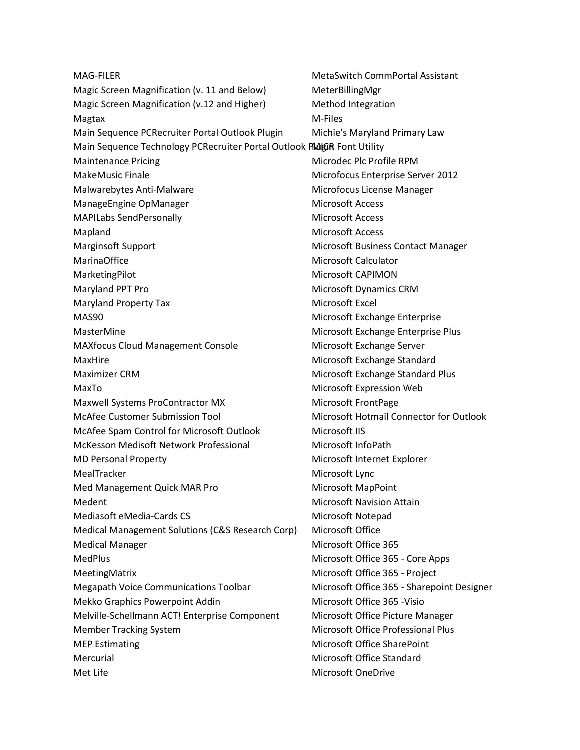| <b>MAG-FILER</b>                                                        | <b>MetaSwitch CommPortal Assistant</b>     |
|-------------------------------------------------------------------------|--------------------------------------------|
| Magic Screen Magnification (v. 11 and Below)                            | MeterBillingMgr                            |
| Magic Screen Magnification (v.12 and Higher)                            | Method Integration                         |
| Magtax                                                                  | M-Files                                    |
| Main Sequence PCRecruiter Portal Outlook Plugin                         | Michie's Maryland Primary Law              |
| Main Sequence Technology PCRecruiter Portal Outlook PMdgiR Font Utility |                                            |
| <b>Maintenance Pricing</b>                                              | Microdec Plc Profile RPM                   |
| <b>MakeMusic Finale</b>                                                 | Microfocus Enterprise Server 2012          |
| Malwarebytes Anti-Malware                                               | Microfocus License Manager                 |
| ManageEngine OpManager                                                  | <b>Microsoft Access</b>                    |
| <b>MAPILabs SendPersonally</b>                                          | <b>Microsoft Access</b>                    |
| Mapland                                                                 | <b>Microsoft Access</b>                    |
| <b>Marginsoft Support</b>                                               | Microsoft Business Contact Manager         |
| <b>MarinaOffice</b>                                                     | <b>Microsoft Calculator</b>                |
| MarketingPilot                                                          | Microsoft CAPIMON                          |
| Maryland PPT Pro                                                        | <b>Microsoft Dynamics CRM</b>              |
| <b>Maryland Property Tax</b>                                            | Microsoft Excel                            |
| MAS90                                                                   | Microsoft Exchange Enterprise              |
| MasterMine                                                              | Microsoft Exchange Enterprise Plus         |
| <b>MAXfocus Cloud Management Console</b>                                | Microsoft Exchange Server                  |
| MaxHire                                                                 | Microsoft Exchange Standard                |
| <b>Maximizer CRM</b>                                                    | Microsoft Exchange Standard Plus           |
| MaxTo                                                                   | Microsoft Expression Web                   |
| Maxwell Systems ProContractor MX                                        | Microsoft FrontPage                        |
| <b>McAfee Customer Submission Tool</b>                                  | Microsoft Hotmail Connector for Outlook    |
| McAfee Spam Control for Microsoft Outlook                               | Microsoft IIS                              |
| McKesson Medisoft Network Professional                                  | Microsoft InfoPath                         |
| <b>MD Personal Property</b>                                             | Microsoft Internet Explorer                |
| MealTracker                                                             | Microsoft Lync                             |
| Med Management Quick MAR Pro                                            | Microsoft MapPoint                         |
| Medent                                                                  | <b>Microsoft Navision Attain</b>           |
| Mediasoft eMedia-Cards CS                                               | Microsoft Notepad                          |
| Medical Management Solutions (C&S Research Corp)                        | Microsoft Office                           |
| <b>Medical Manager</b>                                                  | Microsoft Office 365                       |
| <b>MedPlus</b>                                                          | Microsoft Office 365 - Core Apps           |
| MeetingMatrix                                                           | Microsoft Office 365 - Project             |
| Megapath Voice Communications Toolbar                                   | Microsoft Office 365 - Sharepoint Designer |
| Mekko Graphics Powerpoint Addin                                         | Microsoft Office 365 - Visio               |
| Melville-Schellmann ACT! Enterprise Component                           | Microsoft Office Picture Manager           |
| <b>Member Tracking System</b>                                           | Microsoft Office Professional Plus         |
| <b>MEP Estimating</b>                                                   | Microsoft Office SharePoint                |
| Mercurial                                                               | Microsoft Office Standard                  |
| Met Life                                                                | <b>Microsoft OneDrive</b>                  |
|                                                                         |                                            |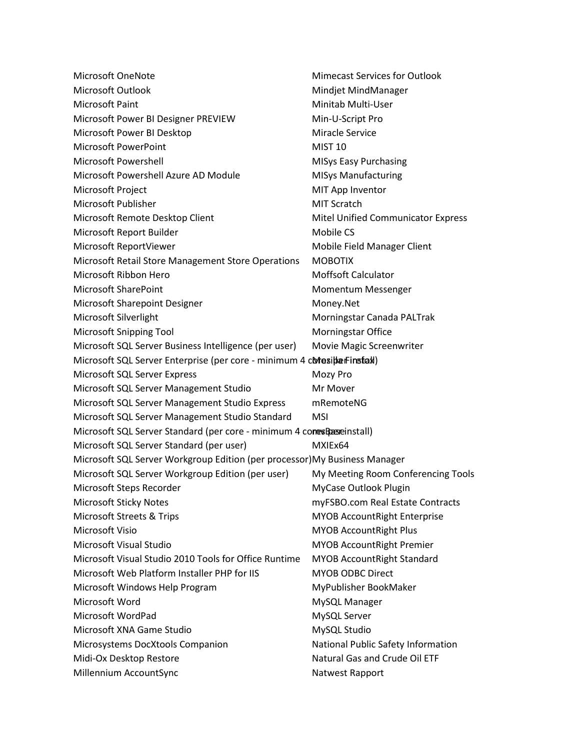| Microsoft OneNote                                                          | <b>Mimecast Services for Outlook</b>      |
|----------------------------------------------------------------------------|-------------------------------------------|
| Microsoft Outlook                                                          | Mindjet MindManager                       |
| Microsoft Paint                                                            | Minitab Multi-User                        |
| Microsoft Power BI Designer PREVIEW                                        | Min-U-Script Pro                          |
| Microsoft Power BI Desktop                                                 | <b>Miracle Service</b>                    |
| <b>Microsoft PowerPoint</b>                                                | <b>MIST 10</b>                            |
| Microsoft Powershell                                                       | <b>MISys Easy Purchasing</b>              |
| Microsoft Powershell Azure AD Module                                       | <b>MISys Manufacturing</b>                |
| Microsoft Project                                                          | MIT App Inventor                          |
| Microsoft Publisher                                                        | <b>MIT Scratch</b>                        |
| Microsoft Remote Desktop Client                                            | <b>Mitel Unified Communicator Express</b> |
| Microsoft Report Builder                                                   | Mobile CS                                 |
| Microsoft ReportViewer                                                     | Mobile Field Manager Client               |
| Microsoft Retail Store Management Store Operations                         | <b>MOBOTIX</b>                            |
| Microsoft Ribbon Hero                                                      | <b>Moffsoft Calculator</b>                |
| <b>Microsoft SharePoint</b>                                                | Momentum Messenger                        |
| Microsoft Sharepoint Designer                                              | Money.Net                                 |
| Microsoft Silverlight                                                      | Morningstar Canada PALTrak                |
| <b>Microsoft Snipping Tool</b>                                             | Morningstar Office                        |
| Microsoft SQL Server Business Intelligence (per user)                      | Movie Magic Screenwriter                  |
| Microsoft SQL Server Enterprise (per core - minimum 4 coresibarFinstal)    |                                           |
| Microsoft SQL Server Express                                               | Mozy Pro                                  |
| Microsoft SQL Server Management Studio                                     | Mr Mover                                  |
| Microsoft SQL Server Management Studio Express                             | mRemoteNG                                 |
| Microsoft SQL Server Management Studio Standard                            | <b>MSI</b>                                |
| Microsoft SQL Server Standard (per core - minimum 4 cones Base install)    |                                           |
| Microsoft SQL Server Standard (per user)                                   | MXIEx64                                   |
| Microsoft SQL Server Workgroup Edition (per processor) My Business Manager |                                           |
| Microsoft SQL Server Workgroup Edition (per user)                          | My Meeting Room Conferencing Tools        |
| Microsoft Steps Recorder                                                   | MyCase Outlook Plugin                     |
| <b>Microsoft Sticky Notes</b>                                              | myFSBO.com Real Estate Contracts          |
| Microsoft Streets & Trips                                                  | <b>MYOB AccountRight Enterprise</b>       |
| Microsoft Visio                                                            | <b>MYOB AccountRight Plus</b>             |
| Microsoft Visual Studio                                                    | <b>MYOB AccountRight Premier</b>          |
| Microsoft Visual Studio 2010 Tools for Office Runtime                      | <b>MYOB AccountRight Standard</b>         |
| Microsoft Web Platform Installer PHP for IIS                               | <b>MYOB ODBC Direct</b>                   |
| Microsoft Windows Help Program                                             | MyPublisher BookMaker                     |
| Microsoft Word                                                             | MySQL Manager                             |
| Microsoft WordPad                                                          | MySQL Server                              |
| Microsoft XNA Game Studio                                                  | MySQL Studio                              |
| Microsystems DocXtools Companion                                           | National Public Safety Information        |
| Midi-Ox Desktop Restore                                                    | Natural Gas and Crude Oil ETF             |
| Millennium AccountSync                                                     | Natwest Rapport                           |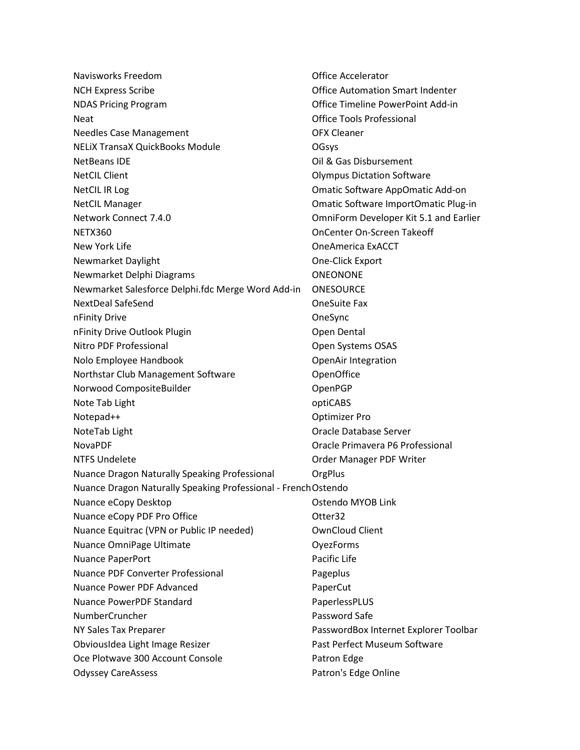| Navisworks Freedom                                             | <b>Office Accelerator</b>               |
|----------------------------------------------------------------|-----------------------------------------|
| <b>NCH Express Scribe</b>                                      | <b>Office Automation Smart Indenter</b> |
| <b>NDAS Pricing Program</b>                                    | Office Timeline PowerPoint Add-in       |
| <b>Neat</b>                                                    | <b>Office Tools Professional</b>        |
| <b>Needles Case Management</b>                                 | <b>OFX Cleaner</b>                      |
| <b>NELIX TransaX QuickBooks Module</b>                         | OGsys                                   |
| NetBeans IDE                                                   | Oil & Gas Disbursement                  |
| <b>NetCIL Client</b>                                           | <b>Olympus Dictation Software</b>       |
| <b>NetCIL IR Log</b>                                           | Omatic Software AppOmatic Add-on        |
| <b>NetCIL Manager</b>                                          | Omatic Software ImportOmatic Plug-in    |
| Network Connect 7.4.0                                          | OmniForm Developer Kit 5.1 and Earlier  |
| NETX360                                                        | <b>OnCenter On-Screen Takeoff</b>       |
| New York Life                                                  | <b>OneAmerica ExACCT</b>                |
| Newmarket Daylight                                             | One-Click Export                        |
| Newmarket Delphi Diagrams                                      | <b>ONEONONE</b>                         |
| Newmarket Salesforce Delphi.fdc Merge Word Add-in              | <b>ONESOURCE</b>                        |
| <b>NextDeal SafeSend</b>                                       | <b>OneSuite Fax</b>                     |
| nFinity Drive                                                  | OneSync                                 |
| nFinity Drive Outlook Plugin                                   | Open Dental                             |
| Nitro PDF Professional                                         | Open Systems OSAS                       |
| Nolo Employee Handbook                                         | <b>OpenAir Integration</b>              |
| Northstar Club Management Software                             | OpenOffice                              |
| Norwood CompositeBuilder                                       | OpenPGP                                 |
| Note Tab Light                                                 | optiCABS                                |
| Notepad++                                                      | <b>Optimizer Pro</b>                    |
| NoteTab Light                                                  | Oracle Database Server                  |
| <b>NovaPDF</b>                                                 | Oracle Primavera P6 Professional        |
| <b>NTFS Undelete</b>                                           | Order Manager PDF Writer                |
| Nuance Dragon Naturally Speaking Professional                  | OrgPlus                                 |
| Nuance Dragon Naturally Speaking Professional - French Ostendo |                                         |
| Nuance eCopy Desktop                                           | Ostendo MYOB Link                       |
| Nuance eCopy PDF Pro Office                                    | Otter32                                 |
| Nuance Equitrac (VPN or Public IP needed)                      | <b>OwnCloud Client</b>                  |
| Nuance OmniPage Ultimate                                       | OyezForms                               |
| Nuance PaperPort                                               | Pacific Life                            |
| <b>Nuance PDF Converter Professional</b>                       | Pageplus                                |
| Nuance Power PDF Advanced                                      | PaperCut                                |
| <b>Nuance PowerPDF Standard</b>                                | PaperlessPLUS                           |
| NumberCruncher                                                 | Password Safe                           |
| NY Sales Tax Preparer                                          | PasswordBox Internet Explorer Toolbar   |
| ObviousIdea Light Image Resizer                                | Past Perfect Museum Software            |
| Oce Plotwave 300 Account Console                               | Patron Edge                             |
| <b>Odyssey CareAssess</b>                                      | Patron's Edge Online                    |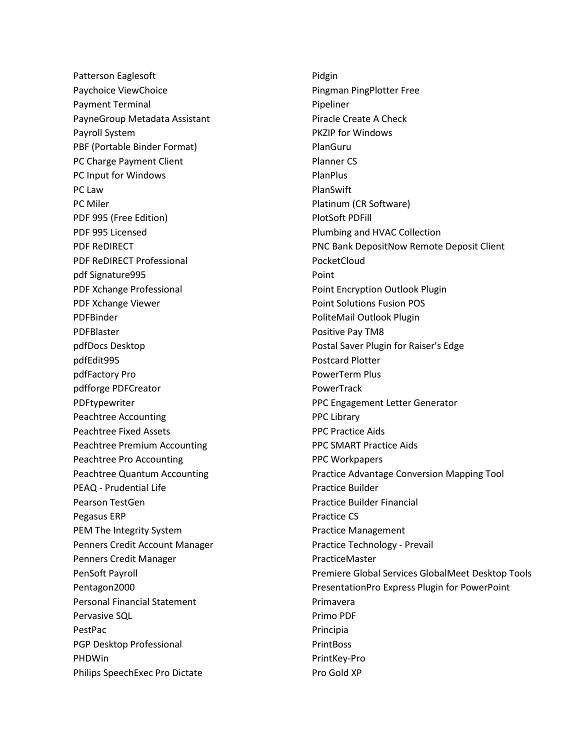Patterson Eaglesoft Paychoice ViewChoice Payment Terminal PayneGroup Metadata Assistant Payroll System PBF (Portable Binder Format) PC Charge Payment Client PC Input for Windows PC Law PC Miler PDF 995 (Free Edition) PDF 995 Licensed PDF ReDIRECT PDF ReDIRECT Professional pdf Signature995 PDF Xchange Professional PDF Xchange Viewer PDFBinder PDFBlaster pdfDocs Desktop pdfEdit995 pdfFactory Pro pdfforge PDFCreator PDFtypewriter Peachtree Accounting Peachtree Fixed Assets Peachtree Premium Accounting Peachtree Pro Accounting Peachtree Quantum Accounting PEAQ - Prudential Life Pearson TestGen Pegasus ERP PEM The Integrity System Penners Credit Account Manager Penners Credit Manager PenSoft Payroll Pentagon2000 Personal Financial Statement Pervasive SQL PestPac PGP Desktop Professional PHDWin Philips SpeechExec Pro Dictate

Pidgin Pingman PingPlotter Free Pipeliner Piracle Create A Check PKZIP for Windows PlanGuru Planner CS PlanPlus PlanSwift Platinum (CR Software) PlotSoft PDFill Plumbing and HVAC Collection PNC Bank DepositNow Remote Deposit Client PocketCloud Point Point Encryption Outlook Plugin Point Solutions Fusion POS PoliteMail Outlook Plugin Positive Pay TM8 Postal Saver Plugin for Raiser's Edge Postcard Plotter PowerTerm Plus PowerTrack PPC Engagement Letter Generator PPC Library PPC Practice Aids PPC SMART Practice Aids PPC Workpapers Practice Advantage Conversion Mapping Tool Practice Builder Practice Builder Financial Practice CS Practice Management Practice Technology - Prevail PracticeMaster Premiere Global Services GlobalMeet Desktop Tools PresentationPro Express Plugin for PowerPoint Primavera Primo PDF Principia PrintBoss PrintKey-Pro Pro Gold XP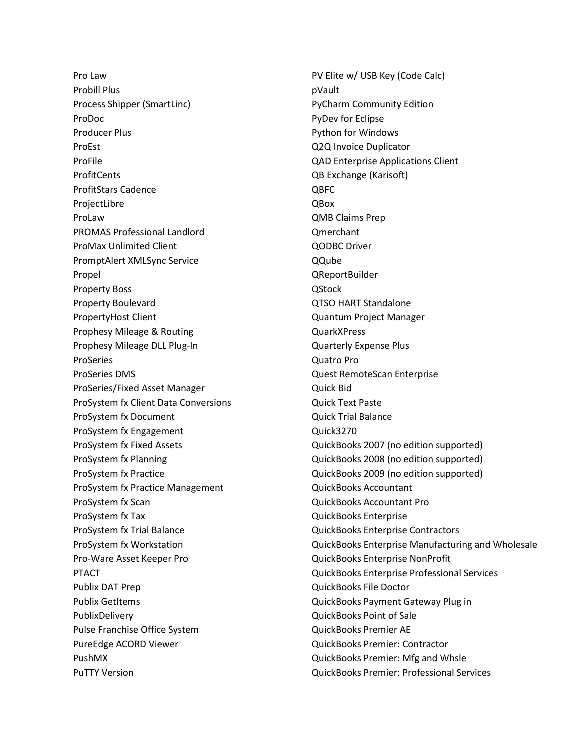Pro Law Probill Plus Process Shipper (SmartLinc) ProDoc Producer Plus ProEst ProFile ProfitCents ProfitStars Cadence ProjectLibre ProLaw PROMAS Professional Landlord ProMax Unlimited Client PromptAlert XMLSync Service Propel Property Boss Property Boulevard PropertyHost Client Prophesy Mileage & Routing Prophesy Mileage DLL Plug-In ProSeries ProSeries DMS ProSeries/Fixed Asset Manager ProSystem fx Client Data Conversions ProSystem fx Document ProSystem fx Engagement ProSystem fx Fixed Assets ProSystem fx Planning ProSystem fx Practice ProSystem fx Practice Management ProSystem fx Scan ProSystem fx Tax ProSystem fx Trial Balance ProSystem fx Workstation Pro-Ware Asset Keeper Pro PTACT Publix DAT Prep Publix GetItems PublixDelivery Pulse Franchise Office System PureEdge ACORD Viewer PushMX PuTTY Version

PV Elite w/ USB Key (Code Calc) pVault PyCharm Community Edition PyDev for Eclipse Python for Windows Q2Q Invoice Duplicator QAD Enterprise Applications Client QB Exchange (Karisoft) QBFC QBox QMB Claims Prep Qmerchant QODBC Driver QQube QReportBuilder **QStock** QTSO HART Standalone Quantum Project Manager QuarkXPress Quarterly Expense Plus Quatro Pro Quest RemoteScan Enterprise Quick Bid Quick Text Paste Quick Trial Balance Quick3270 QuickBooks 2007 (no edition supported) QuickBooks 2008 (no edition supported) QuickBooks 2009 (no edition supported) QuickBooks Accountant QuickBooks Accountant Pro QuickBooks Enterprise QuickBooks Enterprise Contractors QuickBooks Enterprise Manufacturing and Wholesale QuickBooks Enterprise NonProfit QuickBooks Enterprise Professional Services QuickBooks File Doctor QuickBooks Payment Gateway Plug in QuickBooks Point of Sale QuickBooks Premier AE QuickBooks Premier: Contractor QuickBooks Premier: Mfg and Whsle QuickBooks Premier: Professional Services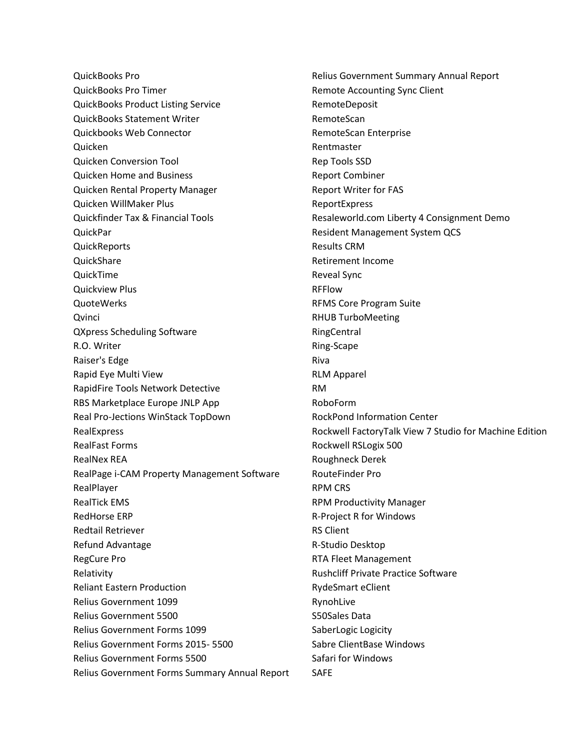QuickBooks Pro QuickBooks Pro Timer QuickBooks Product Listing Service QuickBooks Statement Writer Quickbooks Web Connector Quicken Quicken Conversion Tool Quicken Home and Business Quicken Rental Property Manager Quicken WillMaker Plus Quickfinder Tax & Financial Tools QuickPar **QuickReports QuickShare** QuickTime Quickview Plus QuoteWerks **Qvinci** QXpress Scheduling Software R.O. Writer Raiser's Edge Rapid Eye Multi View RapidFire Tools Network Detective RBS Marketplace Europe JNLP App Real Pro-Jections WinStack TopDown RealExpress RealFast Forms RealNex REA RealPage i-CAM Property Management Software RealPlayer RealTick EMS RedHorse ERP Redtail Retriever Refund Advantage RegCure Pro Relativity Reliant Eastern Production Relius Government 1099 Relius Government 5500 Relius Government Forms 1099 Relius Government Forms 2015- 5500 Relius Government Forms 5500 Relius Government Forms Summary Annual Report Relius Government Summary Annual Report Remote Accounting Sync Client RemoteDeposit RemoteScan RemoteScan Enterprise Rentmaster Rep Tools SSD Report Combiner Report Writer for FAS ReportExpress Resaleworld.com Liberty 4 Consignment Demo Resident Management System QCS Results CRM Retirement Income Reveal Sync RFFlow RFMS Core Program Suite RHUB TurboMeeting RingCentral Ring-Scape Riva RLM Apparel RM RoboForm RockPond Information Center Rockwell FactoryTalk View 7 Studio for Machine Edition Rockwell RSLogix 500 Roughneck Derek RouteFinder Pro RPM CRS RPM Productivity Manager R-Project R for Windows RS Client R-Studio Desktop RTA Fleet Management Rushcliff Private Practice Software RydeSmart eClient RynohLive S50Sales Data SaberLogic Logicity Sabre ClientBase Windows Safari for Windows SAFE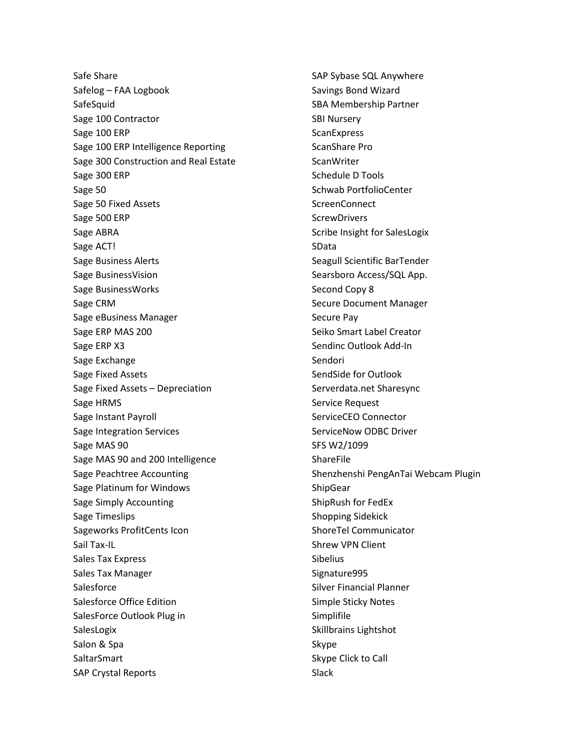Safe Share Safelog – FAA Logbook **SafeSquid** Sage 100 Contractor Sage 100 ERP Sage 100 ERP Intelligence Reporting Sage 300 Construction and Real Estate Sage 300 ERP Sage 50 Sage 50 Fixed Assets Sage 500 ERP Sage ABRA Sage ACT! Sage Business Alerts Sage BusinessVision Sage BusinessWorks Sage CRM Sage eBusiness Manager Sage ERP MAS 200 Sage ERP X3 Sage Exchange Sage Fixed Assets Sage Fixed Assets – Depreciation Sage HRMS Sage Instant Payroll Sage Integration Services Sage MAS 90 Sage MAS 90 and 200 Intelligence Sage Peachtree Accounting Sage Platinum for Windows Sage Simply Accounting Sage Timeslips Sageworks ProfitCents Icon Sail Tax-IL Sales Tax Express Sales Tax Manager **Salesforce** Salesforce Office Edition SalesForce Outlook Plug in SalesLogix Salon & Spa SaltarSmart SAP Crystal Reports

SAP Sybase SQL Anywhere Savings Bond Wizard SBA Membership Partner SBI Nursery **ScanExpress** ScanShare Pro **ScanWriter** Schedule D Tools Schwab PortfolioCenter **ScreenConnect ScrewDrivers** Scribe Insight for SalesLogix SData Seagull Scientific BarTender Searsboro Access/SQL App. Second Copy 8 Secure Document Manager Secure Pay Seiko Smart Label Creator Sendinc Outlook Add-In Sendori SendSide for Outlook Serverdata.net Sharesync Service Request ServiceCEO Connector ServiceNow ODBC Driver SFS W2/1099 ShareFile Shenzhenshi PengAnTai Webcam Plugin ShipGear ShipRush for FedEx Shopping Sidekick ShoreTel Communicator Shrew VPN Client Sibelius Signature995 Silver Financial Planner Simple Sticky Notes Simplifile Skillbrains Lightshot Skype Skype Click to Call Slack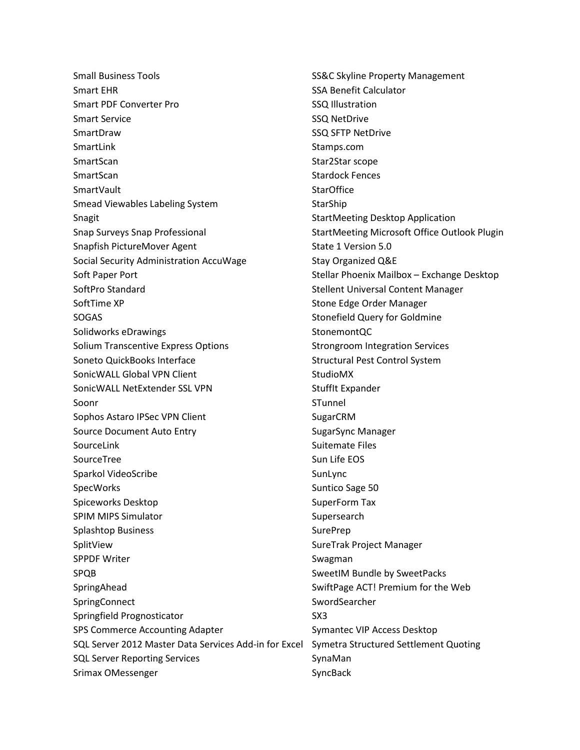Small Business Tools Smart EHR Smart PDF Converter Pro Smart Service SmartDraw SmartLink SmartScan SmartScan **SmartVault** Smead Viewables Labeling System Snagit Snap Surveys Snap Professional Snapfish PictureMover Agent Social Security Administration AccuWage Soft Paper Port SoftPro Standard SoftTime XP SOGAS Solidworks eDrawings Solium Transcentive Express Options Soneto QuickBooks Interface SonicWALL Global VPN Client SonicWALL NetExtender SSL VPN Soonr Sophos Astaro IPSec VPN Client Source Document Auto Entry SourceLink **SourceTree** Sparkol VideoScribe **SpecWorks** Spiceworks Desktop SPIM MIPS Simulator Splashtop Business SplitView SPPDF Writer SPQB SpringAhead **SpringConnect** Springfield Prognosticator SPS Commerce Accounting Adapter SQL Server 2012 Master Data Services Add-in for Excel Symetra Structured Settlement Quoting SQL Server Reporting Services Srimax OMessenger

SS&C Skyline Property Management SSA Benefit Calculator SSQ Illustration SSQ NetDrive SSQ SFTP NetDrive Stamps.com Star2Star scope Stardock Fences **StarOffice** StarShip StartMeeting Desktop Application StartMeeting Microsoft Office Outlook Plugin State 1 Version 5.0 Stay Organized Q&E Stellar Phoenix Mailbox – Exchange Desktop Stellent Universal Content Manager Stone Edge Order Manager Stonefield Query for Goldmine StonemontQC Strongroom Integration Services Structural Pest Control System StudioMX StuffIt Expander STunnel SugarCRM SugarSync Manager Suitemate Files Sun Life EOS SunLync Suntico Sage 50 SuperForm Tax Supersearch SurePrep SureTrak Project Manager Swagman SweetIM Bundle by SweetPacks SwiftPage ACT! Premium for the Web SwordSearcher SX3 Symantec VIP Access Desktop SynaMan SyncBack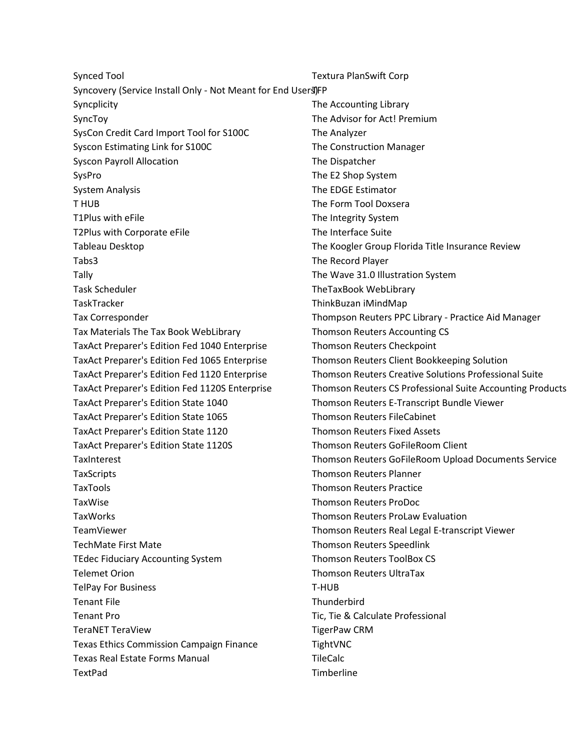Synced Tool Syncovery (Service Install Only - Not Meant for End Users)FP Syncplicity SyncToy SysCon Credit Card Import Tool for S100C Syscon Estimating Link for S100C Syscon Payroll Allocation SysPro System Analysis T HUB T1Plus with eFile T2Plus with Corporate eFile Tableau Desktop Tabs3 Tally Task Scheduler **TaskTracker** Tax Corresponder Tax Materials The Tax Book WebLibrary TaxAct Preparer's Edition Fed 1040 Enterprise TaxAct Preparer's Edition Fed 1065 Enterprise TaxAct Preparer's Edition Fed 1120 Enterprise TaxAct Preparer's Edition Fed 1120S Enterprise TaxAct Preparer's Edition State 1040 TaxAct Preparer's Edition State 1065 TaxAct Preparer's Edition State 1120 TaxAct Preparer's Edition State 1120S **TaxInterest TaxScripts** TaxTools TaxWise TaxWorks TeamViewer TechMate First Mate TEdec Fiduciary Accounting System Telemet Orion TelPay For Business Tenant File Tenant Pro TeraNET TeraView Texas Ethics Commission Campaign Finance Texas Real Estate Forms Manual TextPad The Analyzer T-HUB **Thunderbird** TightVNC TileCalc **Timberline** 

Textura PlanSwift Corp The Accounting Library The Advisor for Act! Premium The Construction Manager The Dispatcher The E2 Shop System The EDGE Estimator The Form Tool Doxsera The Integrity System The Interface Suite The Koogler Group Florida Title Insurance Review The Record Player The Wave 31.0 Illustration System TheTaxBook WebLibrary ThinkBuzan iMindMap Thompson Reuters PPC Library - Practice Aid Manager Thomson Reuters Accounting CS Thomson Reuters Checkpoint Thomson Reuters Client Bookkeeping Solution Thomson Reuters Creative Solutions Professional Suite Thomson Reuters CS Professional Suite Accounting Products Thomson Reuters E-Transcript Bundle Viewer Thomson Reuters FileCabinet Thomson Reuters Fixed Assets Thomson Reuters GoFileRoom Client Thomson Reuters GoFileRoom Upload Documents Service Thomson Reuters Planner Thomson Reuters Practice Thomson Reuters ProDoc Thomson Reuters ProLaw Evaluation Thomson Reuters Real Legal E-transcript Viewer Thomson Reuters Speedlink Thomson Reuters ToolBox CS Thomson Reuters UltraTax Tic, Tie & Calculate Professional TigerPaw CRM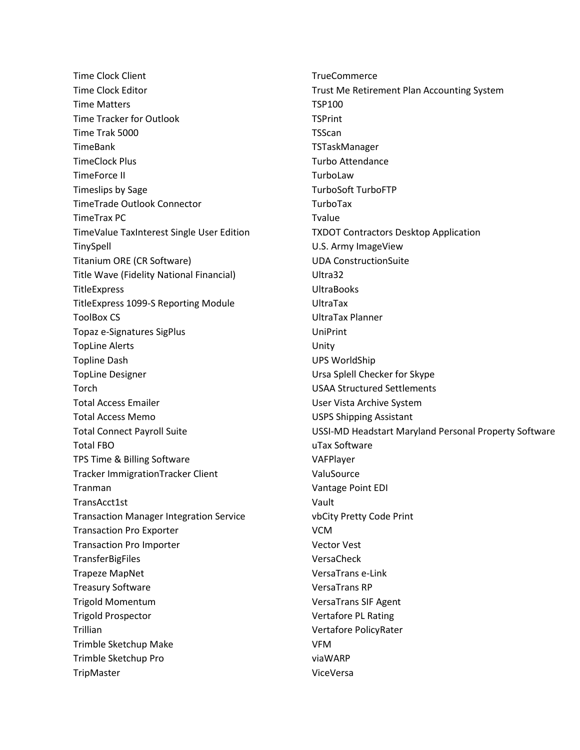Time Clock Client Time Clock Editor Time Matters Time Tracker for Outlook Time Trak 5000 TimeBank TimeClock Plus TimeForce II Timeslips by Sage TimeTrade Outlook Connector TimeTrax PC TimeValue TaxInterest Single User Edition **TinySpell** Titanium ORE (CR Software) Title Wave (Fidelity National Financial) **TitleExpress** TitleExpress 1099-S Reporting Module ToolBox CS Topaz e-Signatures SigPlus TopLine Alerts Topline Dash TopLine Designer Torch Total Access Emailer Total Access Memo Total Connect Payroll Suite Total FBO TPS Time & Billing Software Tracker ImmigrationTracker Client Tranman TransAcct1st Transaction Manager Integration Service Transaction Pro Exporter Transaction Pro Importer **TransferBigFiles** Trapeze MapNet Treasury Software Trigold Momentum Trigold Prospector Trillian Trimble Sketchup Make Trimble Sketchup Pro **TripMaster** 

**TrueCommerce** Trust Me Retirement Plan Accounting System TSP100 **TSPrint** TSScan TSTaskManager Turbo Attendance TurboLaw TurboSoft TurboFTP TurboTax Tvalue TXDOT Contractors Desktop Application U.S. Army ImageView UDA ConstructionSuite Ultra32 UltraBooks UltraTax UltraTax Planner UniPrint Unity UPS WorldShip Ursa Splell Checker for Skype USAA Structured Settlements User Vista Archive System USPS Shipping Assistant USSI-MD Headstart Maryland Personal Property Software uTax Software VAFPlayer ValuSource Vantage Point EDI Vault vbCity Pretty Code Print VCM Vector Vest VersaCheck VersaTrans e-Link VersaTrans RP VersaTrans SIF Agent Vertafore PL Rating Vertafore PolicyRater VFM viaWARP ViceVersa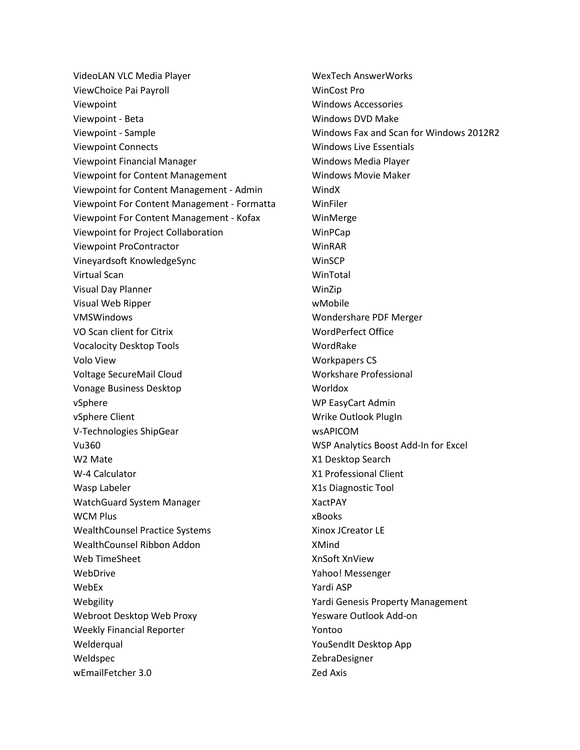VideoLAN VLC Media Player ViewChoice Pai Payroll Viewpoint Viewpoint - Beta Viewpoint - Sample Viewpoint Connects Viewpoint Financial Manager Viewpoint for Content Management Viewpoint for Content Management - Admin Viewpoint For Content Management - Formatta Viewpoint For Content Management - Kofax Viewpoint for Project Collaboration Viewpoint ProContractor Vineyardsoft KnowledgeSync Virtual Scan Visual Day Planner Visual Web Ripper VMSWindows VO Scan client for Citrix Vocalocity Desktop Tools Volo View Voltage SecureMail Cloud Vonage Business Desktop vSphere vSphere Client V-Technologies ShipGear Vu360 W2 Mate W-4 Calculator Wasp Labeler WatchGuard System Manager WCM Plus WealthCounsel Practice Systems WealthCounsel Ribbon Addon Web TimeSheet WebDrive WebEx Webgility Webroot Desktop Web Proxy Weekly Financial Reporter **Welderqual** Weldspec wEmailFetcher 3.0

WexTech AnswerWorks WinCost Pro Windows Accessories Windows DVD Make Windows Fax and Scan for Windows 2012R2 Windows Live Essentials Windows Media Player Windows Movie Maker WindX WinFiler WinMerge WinPCap WinRAR **WinSCP** WinTotal WinZip wMobile Wondershare PDF Merger WordPerfect Office WordRake Workpapers CS Workshare Professional Worldox WP EasyCart Admin Wrike Outlook PlugIn wsAPICOM WSP Analytics Boost Add-In for Excel X1 Desktop Search X1 Professional Client X1s Diagnostic Tool XactPAY xBooks Xinox JCreator LE XMind XnSoft XnView Yahoo! Messenger Yardi ASP Yardi Genesis Property Management Yesware Outlook Add-on Yontoo YouSendIt Desktop App ZebraDesigner Zed Axis